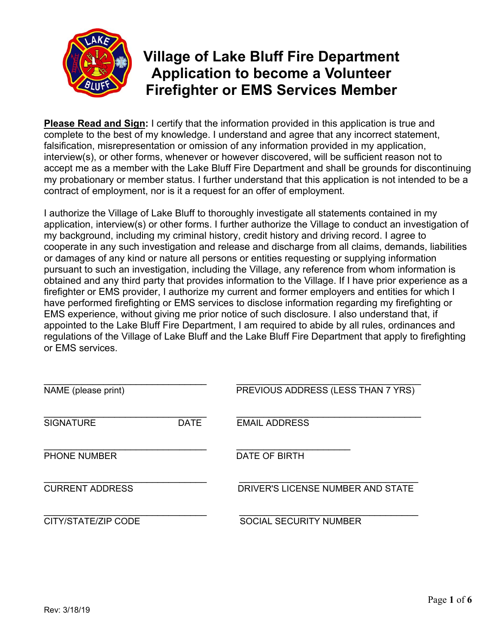

# **Village of Lake Bluff Fire Department Application to become a Volunteer Firefighter or EMS Services Member**

**Please Read and Sign:** I certify that the information provided in this application is true and complete to the best of my knowledge. I understand and agree that any incorrect statement, falsification, misrepresentation or omission of any information provided in my application, interview(s), or other forms, whenever or however discovered, will be sufficient reason not to accept me as a member with the Lake Bluff Fire Department and shall be grounds for discontinuing my probationary or member status. I further understand that this application is not intended to be a contract of employment, nor is it a request for an offer of employment.

I authorize the Village of Lake Bluff to thoroughly investigate all statements contained in my application, interview(s) or other forms. I further authorize the Village to conduct an investigation of my background, including my criminal history, credit history and driving record. I agree to cooperate in any such investigation and release and discharge from all claims, demands, liabilities or damages of any kind or nature all persons or entities requesting or supplying information pursuant to such an investigation, including the Village, any reference from whom information is obtained and any third party that provides information to the Village. If I have prior experience as a firefighter or EMS provider, I authorize my current and former employers and entities for which I have performed firefighting or EMS services to disclose information regarding my firefighting or EMS experience, without giving me prior notice of such disclosure. I also understand that, if appointed to the Lake Bluff Fire Department, I am required to abide by all rules, ordinances and regulations of the Village of Lake Bluff and the Lake Bluff Fire Department that apply to firefighting or EMS services.

| NAME (please print)    |             | PREVIOUS ADDRESS (LESS THAN 7 YRS) |
|------------------------|-------------|------------------------------------|
| <b>SIGNATURE</b>       | <b>DATE</b> | <b>EMAIL ADDRESS</b>               |
| <b>PHONE NUMBER</b>    |             | DATE OF BIRTH                      |
| <b>CURRENT ADDRESS</b> |             | DRIVER'S LICENSE NUMBER AND STATE  |
| CITY/STATE/ZIP CODE    |             | <b>SOCIAL SECURITY NUMBER</b>      |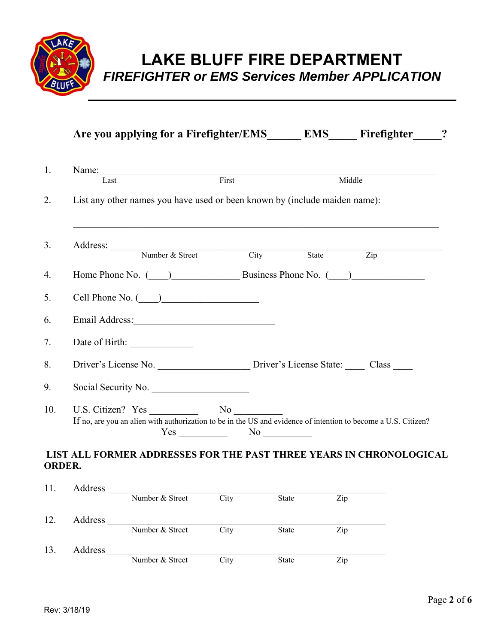

**LAKE BLUFF FIRE DEPARTMENT**  *FIREFIGHTER or EMS Services Member APPLICATION* 

|               |                                                                                                                |     |                            |              | Are you applying for a Firefighter/EMS EMS Firefighter ? |
|---------------|----------------------------------------------------------------------------------------------------------------|-----|----------------------------|--------------|----------------------------------------------------------|
| 1.            | Name: $\frac{1}{T \cdot \text{act}}$ First                                                                     |     |                            |              | Middle                                                   |
| 2.            | List any other names you have used or been known by (include maiden name):                                     |     |                            |              |                                                          |
| 3.            | Address: Number & Street City State Zip                                                                        |     |                            |              |                                                          |
| 4.            | Home Phone No. ( ) Business Phone No. ( )                                                                      |     |                            |              |                                                          |
| 5.            | $Cell$ Phone No. $\qquad)$                                                                                     |     |                            |              |                                                          |
| 6.            |                                                                                                                |     |                            |              |                                                          |
| 7.            |                                                                                                                |     |                            |              |                                                          |
| 8.            |                                                                                                                |     |                            |              |                                                          |
| 9.            | Social Security No.                                                                                            |     |                            |              |                                                          |
| 10.           | If no, are you an alien with authorization to be in the US and evidence of intention to become a U.S. Citizen? | Yes | No<br>No                   |              |                                                          |
| <b>ORDER.</b> | LIST ALL FORMER ADDRESSES FOR THE PAST THREE YEARS IN CHRONOLOGICAL                                            |     |                            |              |                                                          |
| 11.           | Address Number & Street City                                                                                   |     |                            | State<br>Zip |                                                          |
| 12.           |                                                                                                                |     | $\overline{\mathrm{City}}$ | Zip<br>State |                                                          |

|     | Address |                 |      |              |     |  |
|-----|---------|-----------------|------|--------------|-----|--|
|     |         | Number & Street | City | <b>State</b> | Zip |  |
| 12. | Address |                 |      |              |     |  |
|     |         | Number & Street | City | <b>State</b> | Zip |  |
| 13. | Address |                 |      |              |     |  |
|     |         | Number & Street | City | <b>State</b> | Zip |  |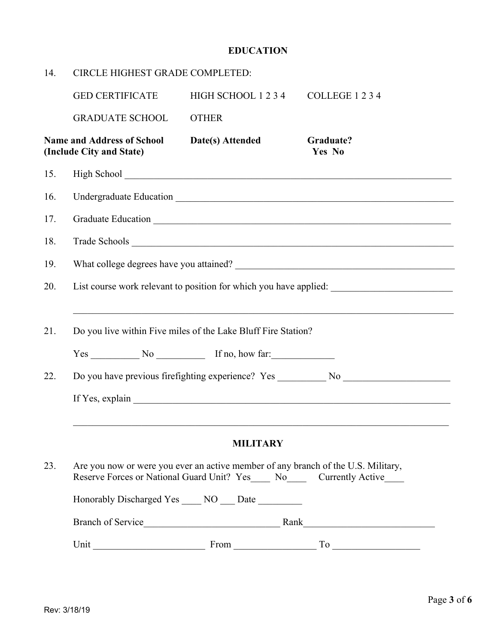### **EDUCATION**

| 14. | CIRCLE HIGHEST GRADE COMPLETED:                               |                                                                                                                                                                  |                                                                                                                                                                                                                                                                                                                                                                                                                   |  |  |  |
|-----|---------------------------------------------------------------|------------------------------------------------------------------------------------------------------------------------------------------------------------------|-------------------------------------------------------------------------------------------------------------------------------------------------------------------------------------------------------------------------------------------------------------------------------------------------------------------------------------------------------------------------------------------------------------------|--|--|--|
|     | <b>GED CERTIFICATE</b>                                        | HIGH SCHOOL 1234                                                                                                                                                 | COLLEGE 1234                                                                                                                                                                                                                                                                                                                                                                                                      |  |  |  |
|     | <b>GRADUATE SCHOOL</b>                                        | <b>OTHER</b>                                                                                                                                                     |                                                                                                                                                                                                                                                                                                                                                                                                                   |  |  |  |
|     | <b>Name and Address of School</b><br>(Include City and State) | Date(s) Attended                                                                                                                                                 | Graduate?<br>Yes No                                                                                                                                                                                                                                                                                                                                                                                               |  |  |  |
| 15. |                                                               |                                                                                                                                                                  |                                                                                                                                                                                                                                                                                                                                                                                                                   |  |  |  |
| 16. |                                                               |                                                                                                                                                                  | Undergraduate Education Number of Section 2014 1996                                                                                                                                                                                                                                                                                                                                                               |  |  |  |
| 17. |                                                               |                                                                                                                                                                  |                                                                                                                                                                                                                                                                                                                                                                                                                   |  |  |  |
| 18. |                                                               |                                                                                                                                                                  |                                                                                                                                                                                                                                                                                                                                                                                                                   |  |  |  |
| 19. |                                                               |                                                                                                                                                                  |                                                                                                                                                                                                                                                                                                                                                                                                                   |  |  |  |
| 20. |                                                               |                                                                                                                                                                  | List course work relevant to position for which you have applied:                                                                                                                                                                                                                                                                                                                                                 |  |  |  |
| 21. |                                                               | Do you live within Five miles of the Lake Bluff Fire Station?<br>$Yes$ No $N$ <sup>o</sup> If no, how far:                                                       |                                                                                                                                                                                                                                                                                                                                                                                                                   |  |  |  |
| 22. |                                                               |                                                                                                                                                                  | Do you have previous firefighting experience? Yes __________ No ________________                                                                                                                                                                                                                                                                                                                                  |  |  |  |
|     |                                                               |                                                                                                                                                                  |                                                                                                                                                                                                                                                                                                                                                                                                                   |  |  |  |
|     |                                                               | <b>MILITARY</b>                                                                                                                                                  |                                                                                                                                                                                                                                                                                                                                                                                                                   |  |  |  |
| 23. |                                                               | Are you now or were you ever an active member of any branch of the U.S. Military,<br>Reserve Forces or National Guard Unit? Yes____ No_____ Currently Active____ |                                                                                                                                                                                                                                                                                                                                                                                                                   |  |  |  |
|     |                                                               | Honorably Discharged Yes ____ NO ___ Date ________                                                                                                               |                                                                                                                                                                                                                                                                                                                                                                                                                   |  |  |  |
|     |                                                               |                                                                                                                                                                  | <u> 1980 - Johann Barbara, martin dina masjid a</u>                                                                                                                                                                                                                                                                                                                                                               |  |  |  |
|     |                                                               |                                                                                                                                                                  | Unit $\frac{1}{\sqrt{1-\frac{1}{2}}\sqrt{1-\frac{1}{2}}\sqrt{1-\frac{1}{2}}\sqrt{1-\frac{1}{2}}\sqrt{1-\frac{1}{2}\sqrt{1-\frac{1}{2}}\sqrt{1-\frac{1}{2}}\sqrt{1-\frac{1}{2}\sqrt{1-\frac{1}{2}}\sqrt{1-\frac{1}{2}}\sqrt{1-\frac{1}{2}}\sqrt{1-\frac{1}{2}}\sqrt{1-\frac{1}{2}\sqrt{1-\frac{1}{2}}\sqrt{1-\frac{1}{2}}\sqrt{1-\frac{1}{2}}\sqrt{1-\frac{1}{2}}\sqrt{1-\frac{1}{2}\sqrt{1-\frac{1}{2}}\sqrt{1-\$ |  |  |  |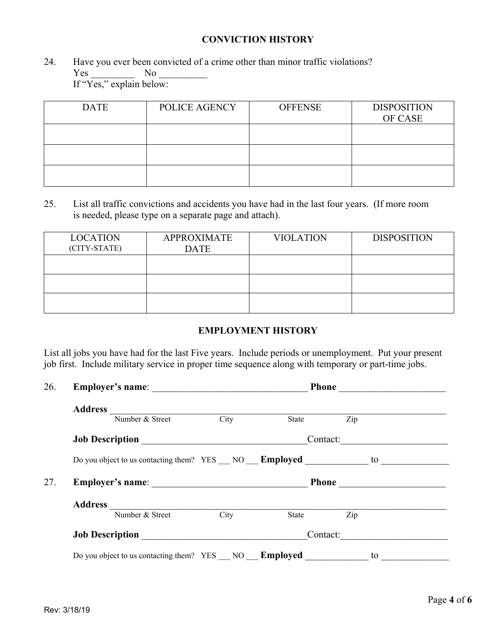#### **CONVICTION HISTORY**

24. Have you ever been convicted of a crime other than minor traffic violations? Yes \_\_\_\_\_\_\_\_\_ No \_\_\_\_\_\_\_\_\_\_

If "Yes," explain below:

| <b>DATE</b> | POLICE AGENCY | <b>OFFENSE</b> | <b>DISPOSITION</b><br>OF CASE |
|-------------|---------------|----------------|-------------------------------|
|             |               |                |                               |
|             |               |                |                               |
|             |               |                |                               |

25. List all traffic convictions and accidents you have had in the last four years. (If more room is needed, please type on a separate page and attach).

| <b>LOCATION</b><br>(CITY-STATE) | <b>APPROXIMATE</b><br><b>DATE</b> | <b>VIOLATION</b> | <b>DISPOSITION</b> |
|---------------------------------|-----------------------------------|------------------|--------------------|
|                                 |                                   |                  |                    |
|                                 |                                   |                  |                    |
|                                 |                                   |                  |                    |

#### **EMPLOYMENT HISTORY**

List all jobs you have had for the last Five years. Include periods or unemployment. Put your present job first. Include military service in proper time sequence along with temporary or part-time jobs.

| 26. |                                                                                                                                                                                                                                                                                                                                                                 |  |          |          |  |
|-----|-----------------------------------------------------------------------------------------------------------------------------------------------------------------------------------------------------------------------------------------------------------------------------------------------------------------------------------------------------------------|--|----------|----------|--|
|     | Address $\frac{1}{\sqrt{2\pi}}$ $\frac{1}{\sqrt{2\pi}}$ $\frac{1}{\sqrt{2\pi}}$ $\frac{1}{\sqrt{2\pi}}$ $\frac{1}{\sqrt{2\pi}}$ $\frac{1}{\sqrt{2\pi}}$ $\frac{1}{\sqrt{2\pi}}$ $\frac{1}{\sqrt{2\pi}}$ $\frac{1}{\sqrt{2\pi}}$ $\frac{1}{\sqrt{2\pi}}$ $\frac{1}{\sqrt{2\pi}}$ $\frac{1}{\sqrt{2\pi}}$ $\frac{1}{\sqrt{2\pi}}$ $\frac{1}{\sqrt{2\pi}}$ $\frac$ |  |          |          |  |
|     |                                                                                                                                                                                                                                                                                                                                                                 |  | State    | Zip      |  |
|     |                                                                                                                                                                                                                                                                                                                                                                 |  | Contact: |          |  |
|     | Do you object to us contacting them? YES ___ NO ___ <b>Employed</b> _______________ to ______                                                                                                                                                                                                                                                                   |  |          |          |  |
| 27. | Employer's name:                                                                                                                                                                                                                                                                                                                                                |  | Phone    |          |  |
|     |                                                                                                                                                                                                                                                                                                                                                                 |  |          |          |  |
|     | Address Number & Street City                                                                                                                                                                                                                                                                                                                                    |  | State    | Zip      |  |
|     |                                                                                                                                                                                                                                                                                                                                                                 |  |          | Contact: |  |
|     |                                                                                                                                                                                                                                                                                                                                                                 |  |          |          |  |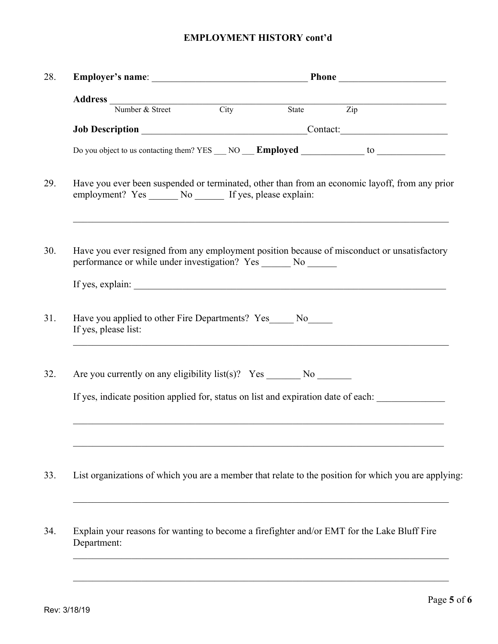## **EMPLOYMENT HISTORY cont'd**

|                      | Address<br>Number & Street City State                            |  |  | $\overline{Zip}$                                                                                     |  |
|----------------------|------------------------------------------------------------------|--|--|------------------------------------------------------------------------------------------------------|--|
|                      |                                                                  |  |  | Job Description Contact:                                                                             |  |
|                      |                                                                  |  |  |                                                                                                      |  |
|                      | employment? Yes _______ No _______ If yes, please explain:       |  |  | Have you ever been suspended or terminated, other than from an economic layoff, from any prior       |  |
|                      | performance or while under investigation? Yes _______ No _______ |  |  | Have you ever resigned from any employment position because of misconduct or unsatisfactory          |  |
|                      |                                                                  |  |  |                                                                                                      |  |
| If yes, please list: | Have you applied to other Fire Departments? Yes_____ No_____     |  |  |                                                                                                      |  |
|                      |                                                                  |  |  |                                                                                                      |  |
|                      |                                                                  |  |  | If yes, indicate position applied for, status on list and expiration date of each:                   |  |
|                      |                                                                  |  |  |                                                                                                      |  |
|                      |                                                                  |  |  | List organizations of which you are a member that relate to the position for which you are applying: |  |